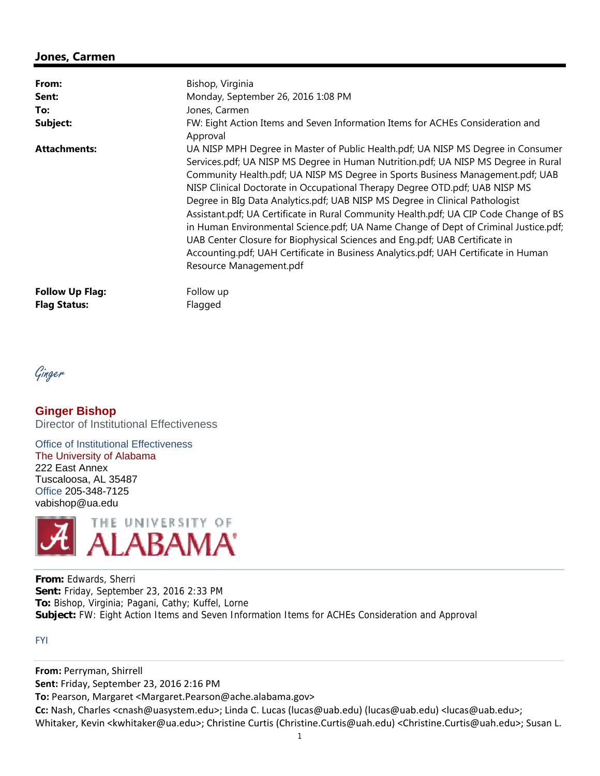## **Jones, Carmen**

| From:                  | Bishop, Virginia                                                                                                                                                                                                                                                                                                                                                                                                                                                                                                                                                                                                                                                                                                                                                                                         |
|------------------------|----------------------------------------------------------------------------------------------------------------------------------------------------------------------------------------------------------------------------------------------------------------------------------------------------------------------------------------------------------------------------------------------------------------------------------------------------------------------------------------------------------------------------------------------------------------------------------------------------------------------------------------------------------------------------------------------------------------------------------------------------------------------------------------------------------|
| Sent:                  | Monday, September 26, 2016 1:08 PM                                                                                                                                                                                                                                                                                                                                                                                                                                                                                                                                                                                                                                                                                                                                                                       |
| To:                    | Jones, Carmen                                                                                                                                                                                                                                                                                                                                                                                                                                                                                                                                                                                                                                                                                                                                                                                            |
| Subject:               | FW: Eight Action Items and Seven Information Items for ACHEs Consideration and<br>Approval                                                                                                                                                                                                                                                                                                                                                                                                                                                                                                                                                                                                                                                                                                               |
| <b>Attachments:</b>    | UA NISP MPH Degree in Master of Public Health.pdf; UA NISP MS Degree in Consumer<br>Services.pdf; UA NISP MS Degree in Human Nutrition.pdf; UA NISP MS Degree in Rural<br>Community Health.pdf; UA NISP MS Degree in Sports Business Management.pdf; UAB<br>NISP Clinical Doctorate in Occupational Therapy Degree OTD.pdf; UAB NISP MS<br>Degree in BIg Data Analytics.pdf; UAB NISP MS Degree in Clinical Pathologist<br>Assistant.pdf; UA Certificate in Rural Community Health.pdf; UA CIP Code Change of BS<br>in Human Environmental Science.pdf; UA Name Change of Dept of Criminal Justice.pdf;<br>UAB Center Closure for Biophysical Sciences and Eng.pdf; UAB Certificate in<br>Accounting.pdf; UAH Certificate in Business Analytics.pdf; UAH Certificate in Human<br>Resource Management.pdf |
| <b>Follow Up Flag:</b> | Follow up                                                                                                                                                                                                                                                                                                                                                                                                                                                                                                                                                                                                                                                                                                                                                                                                |
| <b>Flag Status:</b>    | Flagged                                                                                                                                                                                                                                                                                                                                                                                                                                                                                                                                                                                                                                                                                                                                                                                                  |

Ginger

**Ginger Bishop**  Director of Institutional Effectiveness

Office of Institutional Effectiveness The University of Alabama 222 East Annex Tuscaloosa, AL 35487 Office 205-348-7125 vabishop@ua.edu



**From:** Edwards, Sherri **Sent:** Friday, September 23, 2016 2:33 PM **To:** Bishop, Virginia; Pagani, Cathy; Kuffel, Lorne **Subject:** FW: Eight Action Items and Seven Information Items for ACHEs Consideration and Approval

FYI

**From:** Perryman, Shirrell

**Sent:** Friday, September 23, 2016 2:16 PM

**To:** Pearson, Margaret <Margaret.Pearson@ache.alabama.gov>

**Cc:** Nash, Charles <cnash@uasystem.edu>; Linda C. Lucas (lucas@uab.edu) (lucas@uab.edu) <lucas@uab.edu>; Whitaker, Kevin <kwhitaker@ua.edu>; Christine Curtis (Christine.Curtis@uah.edu) <Christine.Curtis@uah.edu>; Susan L.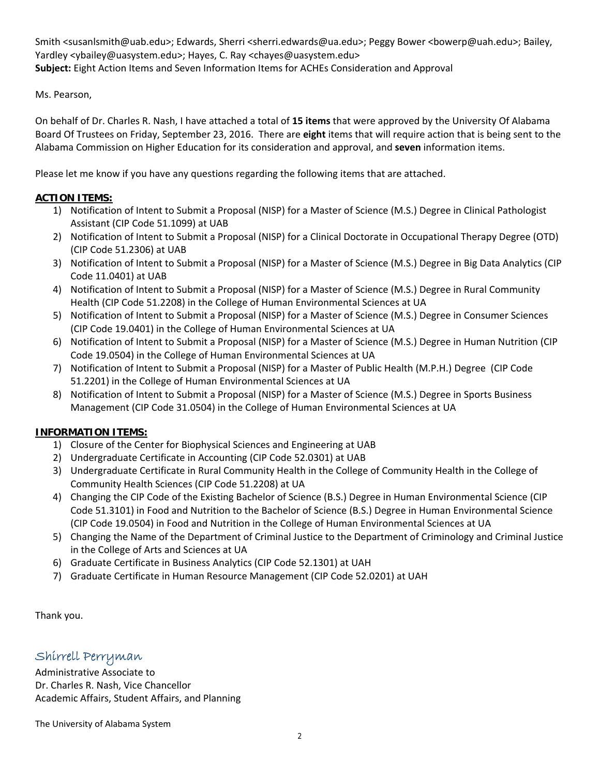Smith <susanlsmith@uab.edu>; Edwards, Sherri <sherri.edwards@ua.edu>; Peggy Bower <bowerp@uah.edu>; Bailey, Yardley <ybailey@uasystem.edu>; Hayes, C. Ray <chayes@uasystem.edu> **Subject:** Eight Action Items and Seven Information Items for ACHEs Consideration and Approval

Ms. Pearson,

On behalf of Dr. Charles R. Nash, I have attached a total of **15 items** that were approved by the University Of Alabama Board Of Trustees on Friday, September 23, 2016. There are **eight** items that will require action that is being sent to the Alabama Commission on Higher Education for its consideration and approval, and **seven** information items.

Please let me know if you have any questions regarding the following items that are attached.

## **ACTION ITEMS:**

- 1) Notification of Intent to Submit a Proposal (NISP) for a Master of Science (M.S.) Degree in Clinical Pathologist Assistant (CIP Code 51.1099) at UAB
- 2) Notification of Intent to Submit a Proposal (NISP) for a Clinical Doctorate in Occupational Therapy Degree (OTD) (CIP Code 51.2306) at UAB
- 3) Notification of Intent to Submit a Proposal (NISP) for a Master of Science (M.S.) Degree in Big Data Analytics (CIP Code 11.0401) at UAB
- 4) Notification of Intent to Submit a Proposal (NISP) for a Master of Science (M.S.) Degree in Rural Community Health (CIP Code 51.2208) in the College of Human Environmental Sciences at UA
- 5) Notification of Intent to Submit a Proposal (NISP) for a Master of Science (M.S.) Degree in Consumer Sciences (CIP Code 19.0401) in the College of Human Environmental Sciences at UA
- 6) Notification of Intent to Submit a Proposal (NISP) for a Master of Science (M.S.) Degree in Human Nutrition (CIP Code 19.0504) in the College of Human Environmental Sciences at UA
- 7) Notification of Intent to Submit a Proposal (NISP) for a Master of Public Health (M.P.H.) Degree (CIP Code 51.2201) in the College of Human Environmental Sciences at UA
- 8) Notification of Intent to Submit a Proposal (NISP) for a Master of Science (M.S.) Degree in Sports Business Management (CIP Code 31.0504) in the College of Human Environmental Sciences at UA

## **INFORMATION ITEMS:**

- 1) Closure of the Center for Biophysical Sciences and Engineering at UAB
- 2) Undergraduate Certificate in Accounting (CIP Code 52.0301) at UAB
- 3) Undergraduate Certificate in Rural Community Health in the College of Community Health in the College of Community Health Sciences (CIP Code 51.2208) at UA
- 4) Changing the CIP Code of the Existing Bachelor of Science (B.S.) Degree in Human Environmental Science (CIP Code 51.3101) in Food and Nutrition to the Bachelor of Science (B.S.) Degree in Human Environmental Science (CIP Code 19.0504) in Food and Nutrition in the College of Human Environmental Sciences at UA
- 5) Changing the Name of the Department of Criminal Justice to the Department of Criminology and Criminal Justice in the College of Arts and Sciences at UA
- 6) Graduate Certificate in Business Analytics (CIP Code 52.1301) at UAH
- 7) Graduate Certificate in Human Resource Management (CIP Code 52.0201) at UAH

Thank you.

## Shirrell Perryman

Administrative Associate to Dr. Charles R. Nash, Vice Chancellor Academic Affairs, Student Affairs, and Planning

The University of Alabama System